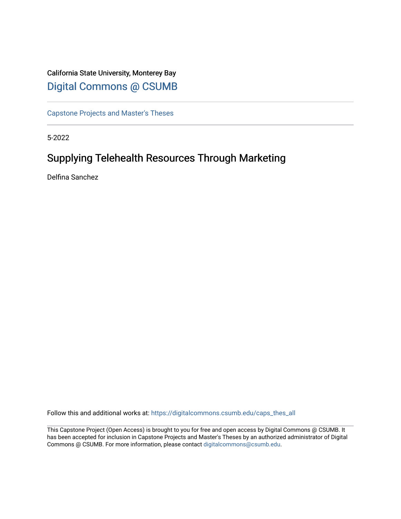## California State University, Monterey Bay [Digital Commons @ CSUMB](https://digitalcommons.csumb.edu/)

[Capstone Projects and Master's Theses](https://digitalcommons.csumb.edu/caps_thes_all)

5-2022

# Supplying Telehealth Resources Through Marketing

Delfina Sanchez

Follow this and additional works at: [https://digitalcommons.csumb.edu/caps\\_thes\\_all](https://digitalcommons.csumb.edu/caps_thes_all?utm_source=digitalcommons.csumb.edu%2Fcaps_thes_all%2F1280&utm_medium=PDF&utm_campaign=PDFCoverPages)

This Capstone Project (Open Access) is brought to you for free and open access by Digital Commons @ CSUMB. It has been accepted for inclusion in Capstone Projects and Master's Theses by an authorized administrator of Digital Commons @ CSUMB. For more information, please contact [digitalcommons@csumb.edu](mailto:digitalcommons@csumb.edu).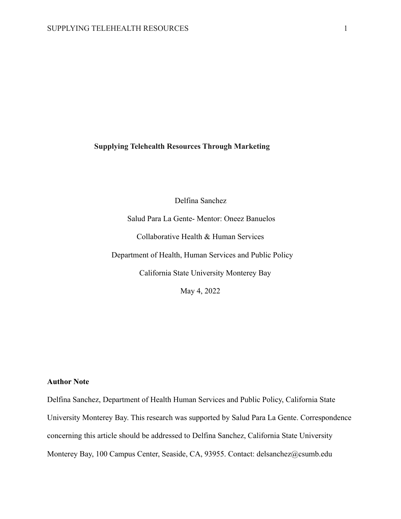## **Supplying Telehealth Resources Through Marketing**

Delfina Sanchez

Salud Para La Gente- Mentor: Oneez Banuelos Collaborative Health & Human Services Department of Health, Human Services and Public Policy California State University Monterey Bay May 4, 2022

## **Author Note**

Delfina Sanchez, Department of Health Human Services and Public Policy, California State University Monterey Bay. This research was supported by Salud Para La Gente. Correspondence concerning this article should be addressed to Delfina Sanchez, California State University Monterey Bay, 100 Campus Center, Seaside, CA, 93955. Contact: delsanchez@csumb.edu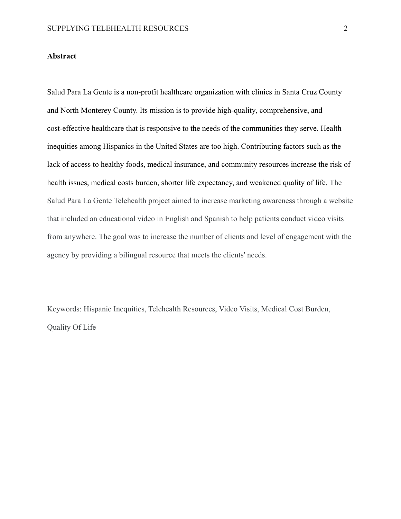## **Abstract**

Salud Para La Gente is a non-profit healthcare organization with clinics in Santa Cruz County and North Monterey County. Its mission is to provide high-quality, comprehensive, and cost-effective healthcare that is responsive to the needs of the communities they serve. Health inequities among Hispanics in the United States are too high. Contributing factors such as the lack of access to healthy foods, medical insurance, and community resources increase the risk of health issues, medical costs burden, shorter life expectancy, and weakened quality of life. The Salud Para La Gente Telehealth project aimed to increase marketing awareness through a website that included an educational video in English and Spanish to help patients conduct video visits from anywhere. The goal was to increase the number of clients and level of engagement with the agency by providing a bilingual resource that meets the clients' needs.

Keywords: Hispanic Inequities, Telehealth Resources, Video Visits, Medical Cost Burden, Quality Of Life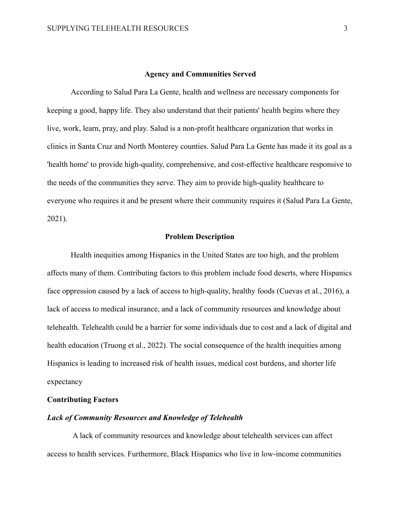#### **Agency and Communities Served**

According to Salud Para La Gente, health and wellness are necessary components for keeping a good, happy life. They also understand that their patients' health begins where they live, work, learn, pray, and play. Salud is a non-profit healthcare organization that works in clinics in Santa Cruz and North Monterey counties. Salud Para La Gente has made it its goal as a 'health home' to provide high-quality, comprehensive, and cost-effective healthcare responsive to the needs of the communities they serve. They aim to provide high-quality healthcare to everyone who requires it and be present where their community requires it (Salud Para La Gente, 2021).

#### **Problem Description**

Health inequities among Hispanics in the United States are too high, and the problem affects many of them. Contributing factors to this problem include food deserts, where Hispanics face oppression caused by a lack of access to high-quality, healthy foods (Cuevas et al., 2016), a lack of access to medical insurance, and a lack of community resources and knowledge about telehealth. Telehealth could be a barrier for some individuals due to cost and a lack of digital and health education (Truong et al., 2022). The social consequence of the health inequities among Hispanics is leading to increased risk of health issues, medical cost burdens, and shorter life expectancy

## **Contributing Factors**

## *Lack of Community Resources and Knowledge of Telehealth*

A lack of community resources and knowledge about telehealth services can affect access to health services. Furthermore, Black Hispanics who live in low-income communities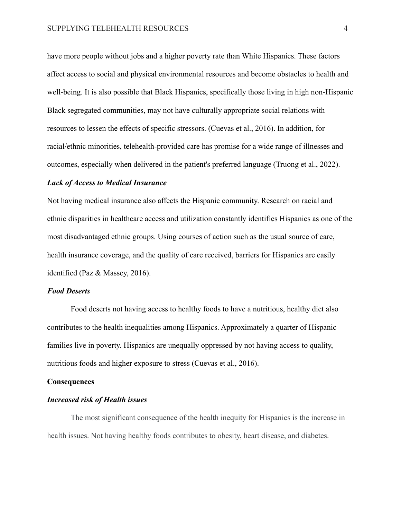have more people without jobs and a higher poverty rate than White Hispanics. These factors affect access to social and physical environmental resources and become obstacles to health and well-being. It is also possible that Black Hispanics, specifically those living in high non-Hispanic Black segregated communities, may not have culturally appropriate social relations with resources to lessen the effects of specific stressors. (Cuevas et al., 2016). In addition, for racial/ethnic minorities, telehealth-provided care has promise for a wide range of illnesses and outcomes, especially when delivered in the patient's preferred language (Truong et al., 2022).

#### *Lack of Access to Medical Insurance*

Not having medical insurance also affects the Hispanic community. Research on racial and ethnic disparities in healthcare access and utilization constantly identifies Hispanics as one of the most disadvantaged ethnic groups. Using courses of action such as the usual source of care, health insurance coverage, and the quality of care received, barriers for Hispanics are easily identified (Paz & Massey, 2016).

#### *Food Deserts*

Food deserts not having access to healthy foods to have a nutritious, healthy diet also contributes to the health inequalities among Hispanics. Approximately a quarter of Hispanic families live in poverty. Hispanics are unequally oppressed by not having access to quality, nutritious foods and higher exposure to stress (Cuevas et al., 2016).

## **Consequences**

## *Increased risk of Health issues*

The most significant consequence of the health inequity for Hispanics is the increase in health issues. Not having healthy foods contributes to obesity, heart disease, and diabetes.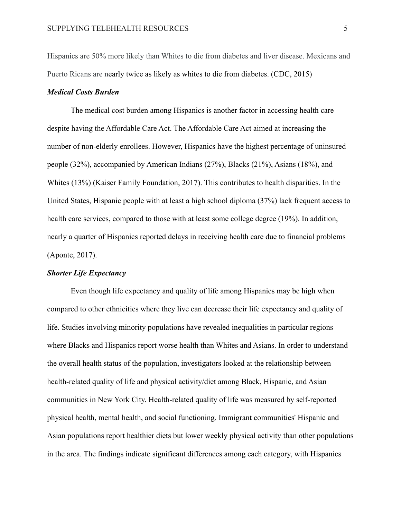Hispanics are 50% more likely than Whites to die from diabetes and liver disease. Mexicans and Puerto Ricans are nearly twice as likely as whites to die from diabetes. (CDC, 2015)

## *Medical Costs Burden*

The medical cost burden among Hispanics is another factor in accessing health care despite having the Affordable Care Act. The Affordable Care Act aimed at increasing the number of non-elderly enrollees. However, Hispanics have the highest percentage of uninsured people (32%), accompanied by American Indians (27%), Blacks (21%), Asians (18%), and Whites (13%) (Kaiser Family Foundation, 2017). This contributes to health disparities. In the United States, Hispanic people with at least a high school diploma (37%) lack frequent access to health care services, compared to those with at least some college degree (19%). In addition, nearly a quarter of Hispanics reported delays in receiving health care due to financial problems (Aponte, 2017).

## *Shorter Life Expectancy*

Even though life expectancy and quality of life among Hispanics may be high when compared to other ethnicities where they live can decrease their life expectancy and quality of life. Studies involving minority populations have revealed inequalities in particular regions where Blacks and Hispanics report worse health than Whites and Asians. In order to understand the overall health status of the population, investigators looked at the relationship between health-related quality of life and physical activity/diet among Black, Hispanic, and Asian communities in New York City. Health-related quality of life was measured by self-reported physical health, mental health, and social functioning. Immigrant communities' Hispanic and Asian populations report healthier diets but lower weekly physical activity than other populations in the area. The findings indicate significant differences among each category, with Hispanics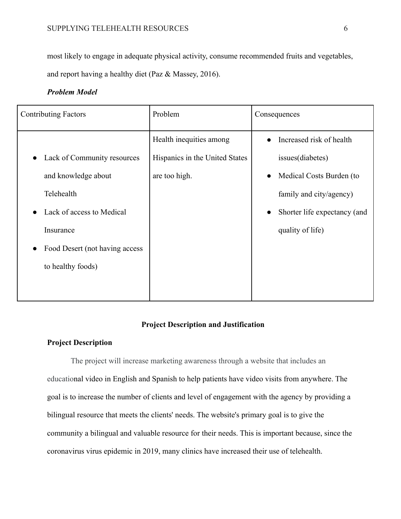most likely to engage in adequate physical activity, consume recommended fruits and vegetables, and report having a healthy diet (Paz & Massey, 2016).

## *Problem Model*

| <b>Contributing Factors</b>              | Problem                        | Consequences                          |
|------------------------------------------|--------------------------------|---------------------------------------|
|                                          | Health inequities among        | Increased risk of health              |
| Lack of Community resources<br>$\bullet$ | Hispanics in the United States | issues(diabetes)                      |
| and knowledge about                      | are too high.                  | Medical Costs Burden (to<br>$\bullet$ |
| Telehealth                               |                                | family and city/agency)               |
| Lack of access to Medical                |                                | Shorter life expectancy (and          |
| Insurance                                |                                | quality of life)                      |
| Food Desert (not having access)          |                                |                                       |
| to healthy foods)                        |                                |                                       |
|                                          |                                |                                       |
|                                          |                                |                                       |

## **Project Description and Justification**

## **Project Description**

The project will increase marketing awareness through a website that includes an educational video in English and Spanish to help patients have video visits from anywhere. The goal is to increase the number of clients and level of engagement with the agency by providing a bilingual resource that meets the clients' needs. The website's primary goal is to give the community a bilingual and valuable resource for their needs. This is important because, since the coronavirus virus epidemic in 2019, many clinics have increased their use of telehealth.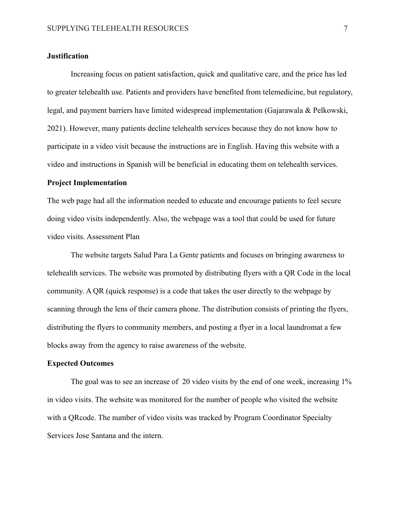### **Justification**

Increasing focus on patient satisfaction, quick and qualitative care, and the price has led to greater telehealth use. Patients and providers have benefited from telemedicine, but regulatory, legal, and payment barriers have limited widespread implementation (Gajarawala & Pelkowski, 2021). However, many patients decline telehealth services because they do not know how to participate in a video visit because the instructions are in English. Having this website with a video and instructions in Spanish will be beneficial in educating them on telehealth services.

#### **Project Implementation**

The web page had all the information needed to educate and encourage patients to feel secure doing video visits independently. Also, the webpage was a tool that could be used for future video visits. Assessment Plan

The website targets Salud Para La Gente patients and focuses on bringing awareness to telehealth services. The website was promoted by distributing flyers with a QR Code in the local community. A QR (quick response) is a code that takes the user directly to the webpage by scanning through the lens of their camera phone. The distribution consists of printing the flyers, distributing the flyers to community members, and posting a flyer in a local laundromat a few blocks away from the agency to raise awareness of the website.

## **Expected Outcomes**

The goal was to see an increase of 20 video visits by the end of one week, increasing 1% in video visits. The website was monitored for the number of people who visited the website with a QRcode. The number of video visits was tracked by Program Coordinator Specialty Services Jose Santana and the intern.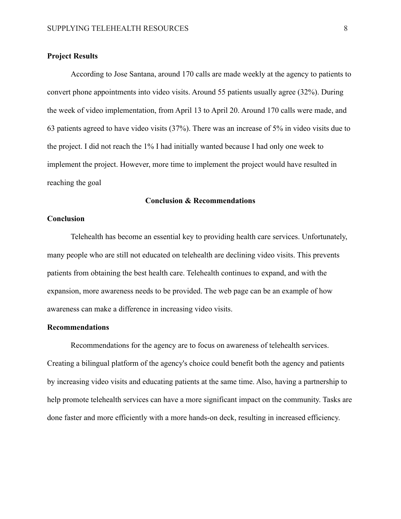## **Project Results**

According to Jose Santana, around 170 calls are made weekly at the agency to patients to convert phone appointments into video visits. Around 55 patients usually agree (32%). During the week of video implementation, from April 13 to April 20. Around 170 calls were made, and 63 patients agreed to have video visits (37%). There was an increase of 5% in video visits due to the project. I did not reach the 1% I had initially wanted because I had only one week to implement the project. However, more time to implement the project would have resulted in reaching the goal

#### **Conclusion & Recommendations**

### **Conclusion**

Telehealth has become an essential key to providing health care services. Unfortunately, many people who are still not educated on telehealth are declining video visits. This prevents patients from obtaining the best health care. Telehealth continues to expand, and with the expansion, more awareness needs to be provided. The web page can be an example of how awareness can make a difference in increasing video visits.

## **Recommendations**

Recommendations for the agency are to focus on awareness of telehealth services. Creating a bilingual platform of the agency's choice could benefit both the agency and patients by increasing video visits and educating patients at the same time. Also, having a partnership to help promote telehealth services can have a more significant impact on the community. Tasks are done faster and more efficiently with a more hands-on deck, resulting in increased efficiency.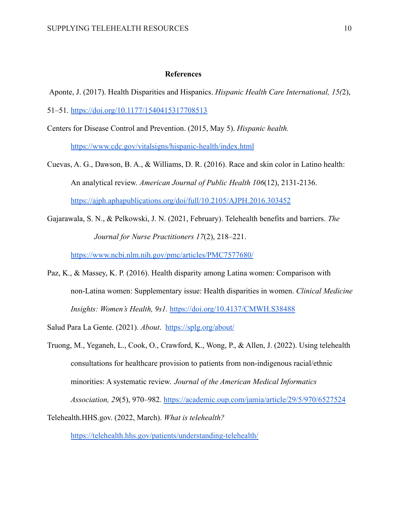#### **References**

Aponte, J. (2017). Health Disparities and Hispanics. *Hispanic Health Care International, 15(*2),

51–51. <https://doi.org/10.1177/1540415317708513>

Centers for Disease Control and Prevention. (2015, May 5). *Hispanic health.* <https://www.cdc.gov/vitalsigns/hispanic-health/index.html>

- Cuevas, A. G., Dawson, B. A., & Williams, D. R. (2016). Race and skin color in Latino health: An analytical review. *American Journal of Public Health 106*(12), 2131-2136. <https://ajph.aphapublications.org/doi/full/10.2105/AJPH.2016.303452>
- Gajarawala, S. N., & Pelkowski, J. N. (2021, February). Telehealth benefits and barriers. *The Journal for Nurse Practitioners 17*(2), 218–221.

<https://www.ncbi.nlm.nih.gov/pmc/articles/PMC7577680/>

Paz, K., & Massey, K. P. (2016). Health disparity among Latina women: Comparison with non-Latina women: Supplementary issue: Health disparities in women. *Clinical Medicine Insights: Women's Health, 9s1.* <https://doi.org/10.4137/CMWH.S38488>

Salud Para La Gente. (2021). *About*. <https://splg.org/about/>

Truong, M., Yeganeh, L., Cook, O., Crawford, K., Wong, P., & Allen, J. (2022). Using telehealth consultations for healthcare provision to patients from non-indigenous racial/ethnic minorities: A systematic review. *Journal of the American Medical Informatics Association, 29*(5), 970–982*.* <https://academic.oup.com/jamia/article/29/5/970/6527524>

Telehealth.HHS.gov. (2022, March). *What is telehealth?* <https://telehealth.hhs.gov/patients/understanding-telehealth/>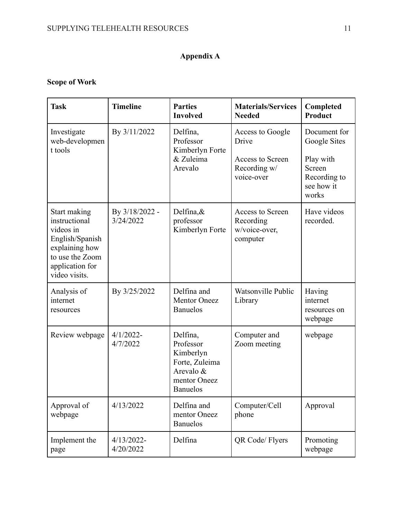## **Appendix A**

## **Scope of Work**

| <b>Task</b>                                                                                                                            | <b>Timeline</b>               | <b>Parties</b><br><b>Involved</b>                                                                    | <b>Materials/Services</b><br><b>Needed</b>                                  | Completed<br><b>Product</b>                                                                |
|----------------------------------------------------------------------------------------------------------------------------------------|-------------------------------|------------------------------------------------------------------------------------------------------|-----------------------------------------------------------------------------|--------------------------------------------------------------------------------------------|
| Investigate<br>web-developmen<br>t tools                                                                                               | By 3/11/2022                  | Delfina,<br>Professor<br>Kimberlyn Forte<br>& Zuleima<br>Arevalo                                     | Access to Google<br>Drive<br>Access to Screen<br>Recording w/<br>voice-over | Document for<br>Google Sites<br>Play with<br>Screen<br>Recording to<br>see how it<br>works |
| Start making<br>instructional<br>videos in<br>English/Spanish<br>explaining how<br>to use the Zoom<br>application for<br>video visits. | By $3/18/2022$ -<br>3/24/2022 | Delfina, $\&$<br>professor<br>Kimberlyn Forte                                                        | Access to Screen<br>Recording<br>w/voice-over,<br>computer                  | Have videos<br>recorded.                                                                   |
| Analysis of<br>internet<br>resources                                                                                                   | By $3/25/2022$                | Delfina and<br><b>Mentor Oneez</b><br><b>Banuelos</b>                                                | Watsonville Public<br>Library                                               | Having<br>internet<br>resources on<br>webpage                                              |
| Review webpage                                                                                                                         | $4/1/2022$ -<br>4/7/2022      | Delfina,<br>Professor<br>Kimberlyn<br>Forte, Zuleima<br>Arevalo &<br>mentor Oneez<br><b>Banuelos</b> | Computer and<br>Zoom meeting                                                | webpage                                                                                    |
| Approval of<br>webpage                                                                                                                 | 4/13/2022                     | Delfina and<br>mentor Oneez<br><b>Banuelos</b>                                                       | Computer/Cell<br>phone                                                      | Approval                                                                                   |
| Implement the<br>page                                                                                                                  | $4/13/2022$ -<br>4/20/2022    | Delfina                                                                                              | QR Code/ Flyers                                                             | Promoting<br>webpage                                                                       |